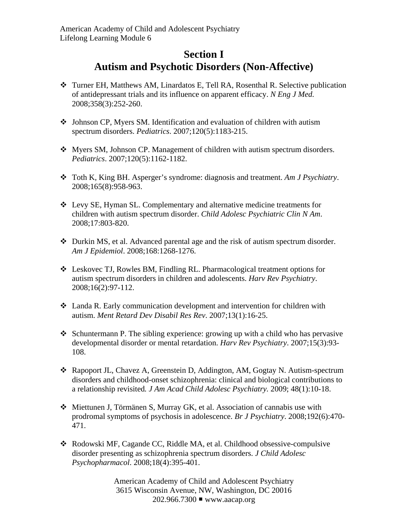## **Section I Autism and Psychotic Disorders (Non-Affective)**

- Turner EH, Matthews AM, Linardatos E, Tell RA, Rosenthal R. Selective publication of antidepressant trials and its influence on apparent efficacy. *N Eng J Med.*  2008;358(3):252-260.
- Johnson CP, Myers SM. Identification and evaluation of children with autism spectrum disorders. *Pediatrics*. 2007;120(5):1183-215.
- Myers SM, Johnson CP. Management of children with autism spectrum disorders. *Pediatrics*. 2007;120(5):1162-1182.
- Toth K, King BH. Asperger's syndrome: diagnosis and treatment. *Am J Psychiatry*. 2008;165(8):958-963.
- Levy SE, Hyman SL. Complementary and alternative medicine treatments for children with autism spectrum disorder. *Child Adolesc Psychiatric Clin N Am*. 2008;17:803-820.
- Durkin MS, et al. Advanced parental age and the risk of autism spectrum disorder. *Am J Epidemiol*. 2008;168:1268-1276.
- Leskovec TJ, Rowles BM, Findling RL. Pharmacological treatment options for autism spectrum disorders in children and adolescents. *Harv Rev Psychiatry*. 2008;16(2):97-112.
- Landa R. Early communication development and intervention for children with autism. *Ment Retard Dev Disabil Res Rev*. 2007;13(1):16-25.
- $\triangle$  Schuntermann P. The sibling experience: growing up with a child who has pervasive developmental disorder or mental retardation. *Harv Rev Psychiatry*. 2007;15(3):93- 108.
- Rapoport JL, Chavez A, Greenstein D, Addington, AM, Gogtay N. Autism-spectrum disorders and childhood-onset schizophrenia: clinical and biological contributions to a relationship revisited*. J Am Acad Child Adolesc Psychiatry.* 2009; 48(1):10-18.
- Miettunen J, Törmänen S, Murray GK, et al. Association of cannabis use with prodromal symptoms of psychosis in adolescence. *Br J Psychiatry*. 2008;192(6):470- 471.
- Rodowski MF, Cagande CC, Riddle MA, et al. Childhood obsessive-compulsive disorder presenting as schizophrenia spectrum disorders. *J Child Adolesc Psychopharmacol*. 2008;18(4):395-401.

American Academy of Child and Adolescent Psychiatry 3615 Wisconsin Avenue, NW, Washington, DC 20016 202.966.7300 ■ www.aacap.org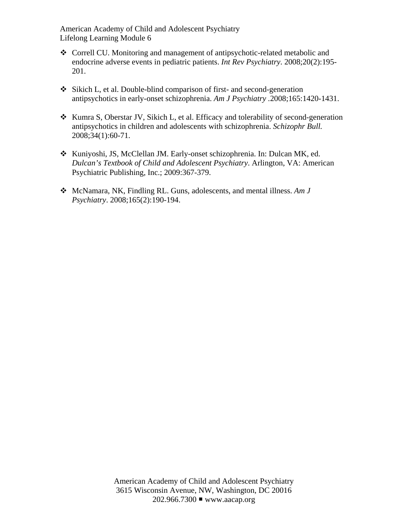American Academy of Child and Adolescent Psychiatry Lifelong Learning Module 6

- Correll CU. Monitoring and management of antipsychotic-related metabolic and endocrine adverse events in pediatric patients. *Int Rev Psychiatry*. 2008;20(2):195- 201.
- Sikich L, et al. Double-blind comparison of first- and second-generation antipsychotics in early-onset schizophrenia. *Am J Psychiatry .*2008;165:1420-1431.
- $\triangleleft$  Kumra S, Oberstar JV, Sikich L, et al. Efficacy and tolerability of second-generation antipsychotics in children and adolescents with schizophrenia. *Schizophr Bull.*  2008;34(1):60-71.
- Kuniyoshi, JS, McClellan JM. Early-onset schizophrenia. In: Dulcan MK, ed. *Dulcan's Textbook of Child and Adolescent Psychiatry*. Arlington, VA: American Psychiatric Publishing, Inc.; 2009:367-379.
- McNamara, NK, Findling RL. Guns, adolescents, and mental illness. *Am J Psychiatry*. 2008;165(2):190-194.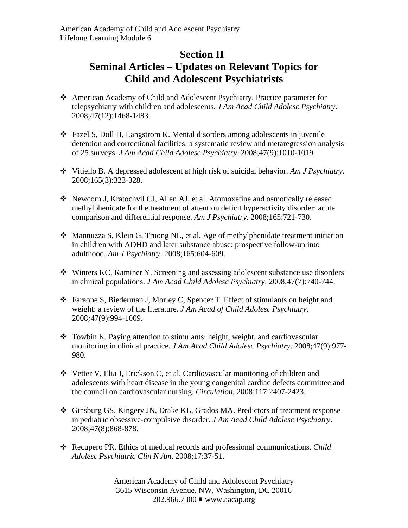## **Section II Seminal Articles – Updates on Relevant Topics for Child and Adolescent Psychiatrists**

- American Academy of Child and Adolescent Psychiatry. Practice parameter for telepsychiatry with children and adolescents. *J Am Acad Child Adolesc Psychiatry*. 2008;47(12):1468-1483.
- Fazel S, Doll H, Langstrom K. Mental disorders among adolescents in juvenile detention and correctional facilities: a systematic review and metaregression analysis of 25 surveys. *J Am Acad Child Adolesc Psychiatry*. 2008;47(9):1010-1019.
- Vitiello B. A depressed adolescent at high risk of suicidal behavior. *Am J Psychiatry*. 2008;165(3):323-328.
- Newcorn J, Kratochvil CJ, Allen AJ, et al. Atomoxetine and osmotically released methylphenidate for the treatment of attention deficit hyperactivity disorder: acute comparison and differential response. *Am J Psychiatry.* 2008;165:721-730.
- Mannuzza S, Klein G, Truong NL, et al. Age of methylphenidate treatment initiation in children with ADHD and later substance abuse: prospective follow-up into adulthood. *Am J Psychiatry*. 2008;165:604-609.
- Winters KC, Kaminer Y. Screening and assessing adolescent substance use disorders in clinical populations. *J Am Acad Child Adolesc Psychiatry*. 2008;47(7):740-744.
- Faraone S, Biederman J, Morley C, Spencer T. Effect of stimulants on height and weight: a review of the literature. *J Am Acad of Child Adolesc Psychiatry.*  2008*;*47(9):994-1009.
- $\div$  Towbin K. Paying attention to stimulants: height, weight, and cardiovascular monitoring in clinical practice. *J Am Acad Child Adolesc Psychiatry*. 2008;47(9):977- 980.
- Vetter V, Elia J, Erickson C, et al. Cardiovascular monitoring of children and adolescents with heart disease in the young congenital cardiac defects committee and the council on cardiovascular nursing. *Circulation.* 2008;117:2407-2423.
- Ginsburg GS, Kingery JN, Drake KL, Grados MA. Predictors of treatment response in pediatric obsessive-compulsive disorder. *J Am Acad Child Adolesc Psychiatry*. 2008;47(8):868-878.
- Recupero PR. Ethics of medical records and professional communications. *Child Adolesc Psychiatric Clin N Am*. 2008;17:37-51.

American Academy of Child and Adolescent Psychiatry 3615 Wisconsin Avenue, NW, Washington, DC 20016  $202.966.7300$  www.aacap.org